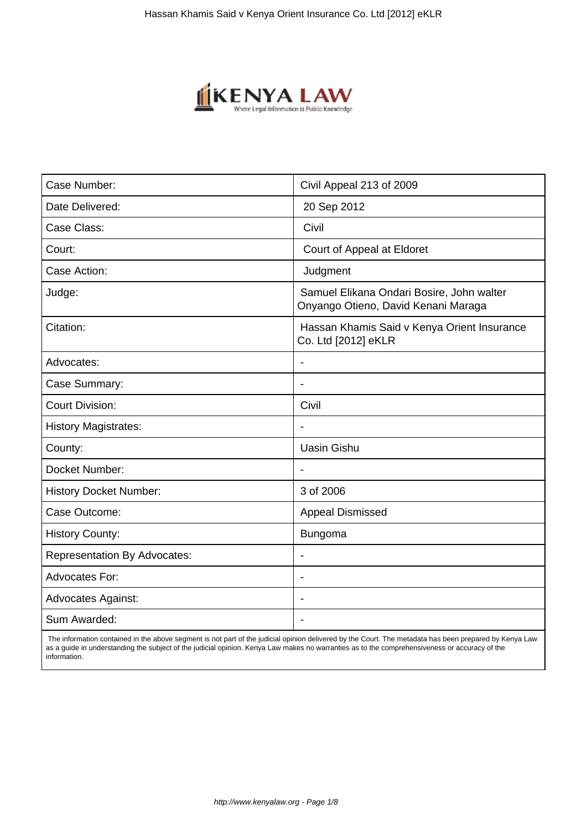

| Civil Appeal 213 of 2009                                                         |
|----------------------------------------------------------------------------------|
| 20 Sep 2012                                                                      |
| Civil                                                                            |
| Court of Appeal at Eldoret                                                       |
| Judgment                                                                         |
| Samuel Elikana Ondari Bosire, John walter<br>Onyango Otieno, David Kenani Maraga |
| Hassan Khamis Said v Kenya Orient Insurance<br>Co. Ltd [2012] eKLR               |
|                                                                                  |
| $\blacksquare$                                                                   |
| Civil                                                                            |
|                                                                                  |
| <b>Uasin Gishu</b>                                                               |
| $\blacksquare$                                                                   |
| 3 of 2006                                                                        |
| <b>Appeal Dismissed</b>                                                          |
| <b>Bungoma</b>                                                                   |
| $\blacksquare$                                                                   |
| ÷                                                                                |
|                                                                                  |
|                                                                                  |
|                                                                                  |

 The information contained in the above segment is not part of the judicial opinion delivered by the Court. The metadata has been prepared by Kenya Law as a guide in understanding the subject of the judicial opinion. Kenya Law makes no warranties as to the comprehensiveness or accuracy of the information.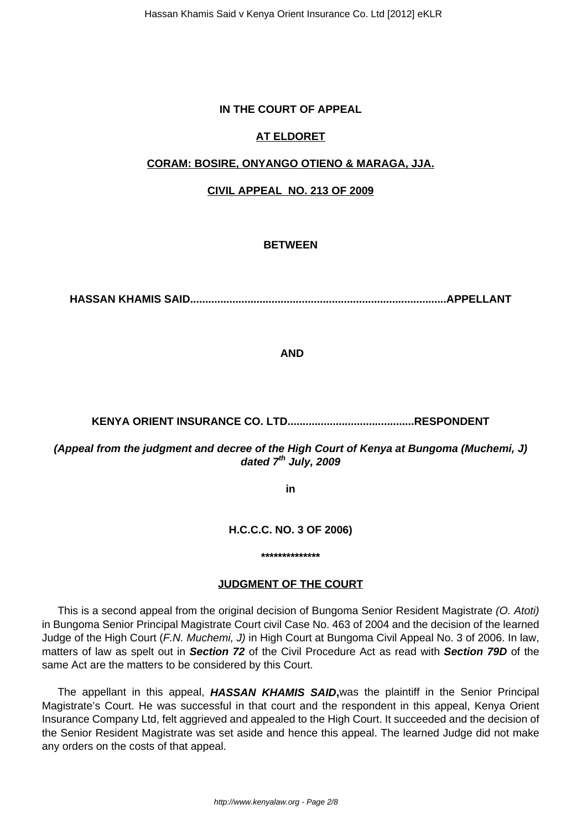## **IN THE COURT OF APPEAL**

#### **AT ELDORET**

#### **CORAM: BOSIRE, ONYANGO OTIENO & MARAGA, JJA.**

#### **CIVIL APPEAL NO. 213 OF 2009**

# **BETWEEN**

**HASSAN KHAMIS SAID.....................................................................................APPELLANT**

**AND**

#### **KENYA ORIENT INSURANCE CO. LTD..........................................RESPONDENT**

**(Appeal from the judgment and decree of the High Court of Kenya at Bungoma (Muchemi, J) dated 7th July, 2009**

**in**

#### **H.C.C.C. NO. 3 OF 2006)**

**\*\*\*\*\*\*\*\*\*\*\*\*\*\***

#### **JUDGMENT OF THE COURT**

This is a second appeal from the original decision of Bungoma Senior Resident Magistrate (O. Atoti) in Bungoma Senior Principal Magistrate Court civil Case No. 463 of 2004 and the decision of the learned Judge of the High Court (F.N. Muchemi, J) in High Court at Bungoma Civil Appeal No. 3 of 2006. In law, matters of law as spelt out in **Section 72** of the Civil Procedure Act as read with **Section 79D** of the same Act are the matters to be considered by this Court.

The appellant in this appeal, **HASSAN KHAMIS SAID,**was the plaintiff in the Senior Principal Magistrate's Court. He was successful in that court and the respondent in this appeal, Kenya Orient Insurance Company Ltd, felt aggrieved and appealed to the High Court. It succeeded and the decision of the Senior Resident Magistrate was set aside and hence this appeal. The learned Judge did not make any orders on the costs of that appeal.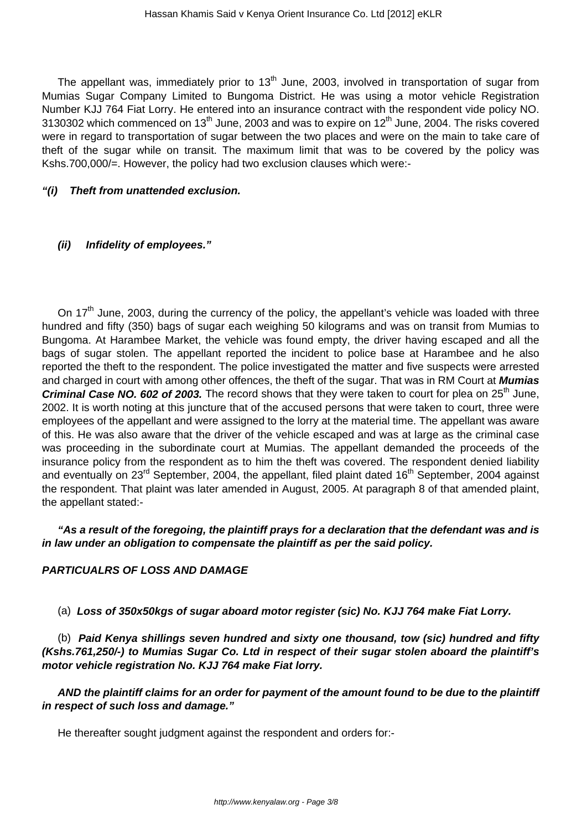The appellant was, immediately prior to  $13<sup>th</sup>$  June, 2003, involved in transportation of sugar from Mumias Sugar Company Limited to Bungoma District. He was using a motor vehicle Registration Number KJJ 764 Fiat Lorry. He entered into an insurance contract with the respondent vide policy NO. 3130302 which commenced on 13<sup>th</sup> June, 2003 and was to expire on 12<sup>th</sup> June, 2004. The risks covered were in regard to transportation of sugar between the two places and were on the main to take care of theft of the sugar while on transit. The maximum limit that was to be covered by the policy was Kshs.700,000/=. However, the policy had two exclusion clauses which were:-

#### **"(i) Theft from unattended exclusion.**

#### **(ii) Infidelity of employees."**

On 17<sup>th</sup> June, 2003, during the currency of the policy, the appellant's vehicle was loaded with three hundred and fifty (350) bags of sugar each weighing 50 kilograms and was on transit from Mumias to Bungoma. At Harambee Market, the vehicle was found empty, the driver having escaped and all the bags of sugar stolen. The appellant reported the incident to police base at Harambee and he also reported the theft to the respondent. The police investigated the matter and five suspects were arrested and charged in court with among other offences, the theft of the sugar. That was in RM Court at **Mumias Criminal Case NO. 602 of 2003.** The record shows that they were taken to court for plea on 25<sup>th</sup> June, 2002. It is worth noting at this juncture that of the accused persons that were taken to court, three were employees of the appellant and were assigned to the lorry at the material time. The appellant was aware of this. He was also aware that the driver of the vehicle escaped and was at large as the criminal case was proceeding in the subordinate court at Mumias. The appellant demanded the proceeds of the insurance policy from the respondent as to him the theft was covered. The respondent denied liability and eventually on 23<sup>rd</sup> September, 2004, the appellant, filed plaint dated 16<sup>th</sup> September, 2004 against the respondent. That plaint was later amended in August, 2005. At paragraph 8 of that amended plaint, the appellant stated:-

**"As a result of the foregoing, the plaintiff prays for a declaration that the defendant was and is in law under an obligation to compensate the plaintiff as per the said policy.**

## **PARTICUALRS OF LOSS AND DAMAGE**

(a) **Loss of 350x50kgs of sugar aboard motor register (sic) No. KJJ 764 make Fiat Lorry.**

(b) **Paid Kenya shillings seven hundred and sixty one thousand, tow (sic) hundred and fifty (Kshs.761,250/-) to Mumias Sugar Co. Ltd in respect of their sugar stolen aboard the plaintiff's motor vehicle registration No. KJJ 764 make Fiat lorry.**

**AND the plaintiff claims for an order for payment of the amount found to be due to the plaintiff in respect of such loss and damage."**

He thereafter sought judgment against the respondent and orders for:-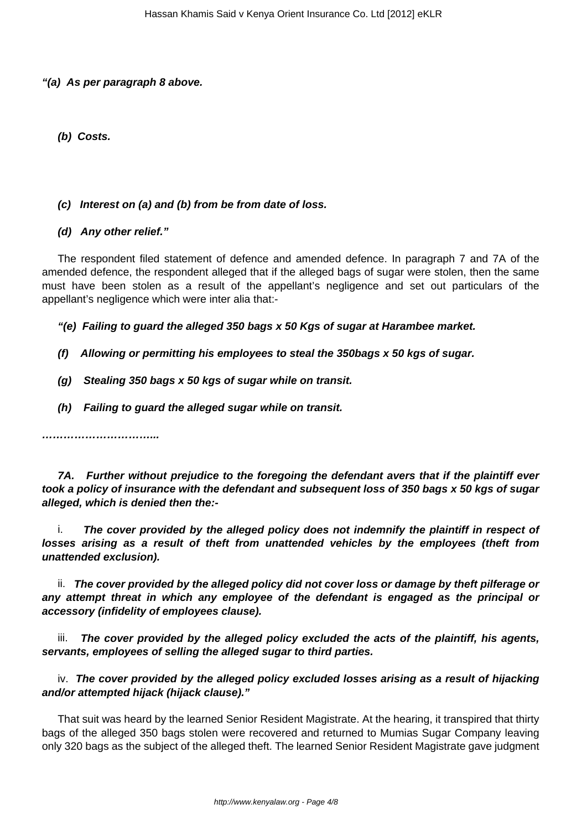#### **"(a) As per paragraph 8 above.**

**(b) Costs.**

## **(c) Interest on (a) and (b) from be from date of loss.**

# **(d) Any other relief."**

The respondent filed statement of defence and amended defence. In paragraph 7 and 7A of the amended defence, the respondent alleged that if the alleged bags of sugar were stolen, then the same must have been stolen as a result of the appellant's negligence and set out particulars of the appellant's negligence which were inter alia that:-

**"(e) Failing to guard the alleged 350 bags x 50 Kgs of sugar at Harambee market.**

- **(f) Allowing or permitting his employees to steal the 350bags x 50 kgs of sugar.**
- **(g) Stealing 350 bags x 50 kgs of sugar while on transit.**
- **(h) Failing to guard the alleged sugar while on transit.**

**…………………………...**

**7A. Further without prejudice to the foregoing the defendant avers that if the plaintiff ever took a policy of insurance with the defendant and subsequent loss of 350 bags x 50 kgs of sugar alleged, which is denied then the:-**

i. **The cover provided by the alleged policy does not indemnify the plaintiff in respect of losses arising as a result of theft from unattended vehicles by the employees (theft from unattended exclusion).**

ii. **The cover provided by the alleged policy did not cover loss or damage by theft pilferage or any attempt threat in which any employee of the defendant is engaged as the principal or accessory (infidelity of employees clause).**

iii. **The cover provided by the alleged policy excluded the acts of the plaintiff, his agents, servants, employees of selling the alleged sugar to third parties.**

iv. **The cover provided by the alleged policy excluded losses arising as a result of hijacking and/or attempted hijack (hijack clause)."**

That suit was heard by the learned Senior Resident Magistrate. At the hearing, it transpired that thirty bags of the alleged 350 bags stolen were recovered and returned to Mumias Sugar Company leaving only 320 bags as the subject of the alleged theft. The learned Senior Resident Magistrate gave judgment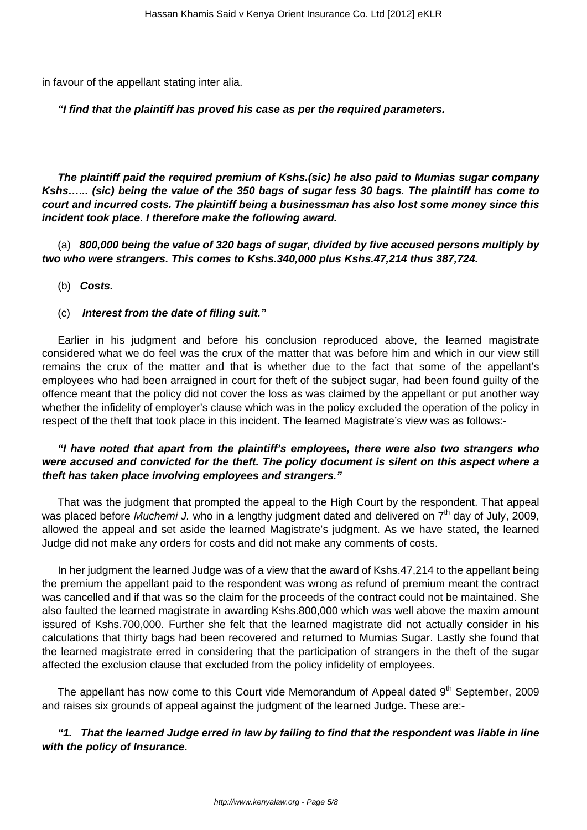in favour of the appellant stating inter alia.

#### **"I find that the plaintiff has proved his case as per the required parameters.**

**The plaintiff paid the required premium of Kshs.(sic) he also paid to Mumias sugar company Kshs…... (sic) being the value of the 350 bags of sugar less 30 bags. The plaintiff has come to court and incurred costs. The plaintiff being a businessman has also lost some money since this incident took place. I therefore make the following award.**

(a) **800,000 being the value of 320 bags of sugar, divided by five accused persons multiply by two who were strangers. This comes to Kshs.340,000 plus Kshs.47,214 thus 387,724.**

(b) **Costs.**

#### (c) **Interest from the date of filing suit."**

Earlier in his judgment and before his conclusion reproduced above, the learned magistrate considered what we do feel was the crux of the matter that was before him and which in our view still remains the crux of the matter and that is whether due to the fact that some of the appellant's employees who had been arraigned in court for theft of the subject sugar, had been found guilty of the offence meant that the policy did not cover the loss as was claimed by the appellant or put another way whether the infidelity of employer's clause which was in the policy excluded the operation of the policy in respect of the theft that took place in this incident. The learned Magistrate's view was as follows:-

# **"I have noted that apart from the plaintiff's employees, there were also two strangers who were accused and convicted for the theft. The policy document is silent on this aspect where a theft has taken place involving employees and strangers."**

That was the judgment that prompted the appeal to the High Court by the respondent. That appeal was placed before Muchemi J. who in a lengthy judgment dated and delivered on  $7<sup>th</sup>$  day of July, 2009, allowed the appeal and set aside the learned Magistrate's judgment. As we have stated, the learned Judge did not make any orders for costs and did not make any comments of costs.

In her judgment the learned Judge was of a view that the award of Kshs.47,214 to the appellant being the premium the appellant paid to the respondent was wrong as refund of premium meant the contract was cancelled and if that was so the claim for the proceeds of the contract could not be maintained. She also faulted the learned magistrate in awarding Kshs.800,000 which was well above the maxim amount issured of Kshs.700,000. Further she felt that the learned magistrate did not actually consider in his calculations that thirty bags had been recovered and returned to Mumias Sugar. Lastly she found that the learned magistrate erred in considering that the participation of strangers in the theft of the sugar affected the exclusion clause that excluded from the policy infidelity of employees.

The appellant has now come to this Court vide Memorandum of Appeal dated  $9<sup>th</sup>$  September, 2009 and raises six grounds of appeal against the judgment of the learned Judge. These are:-

## **"1. That the learned Judge erred in law by failing to find that the respondent was liable in line with the policy of Insurance.**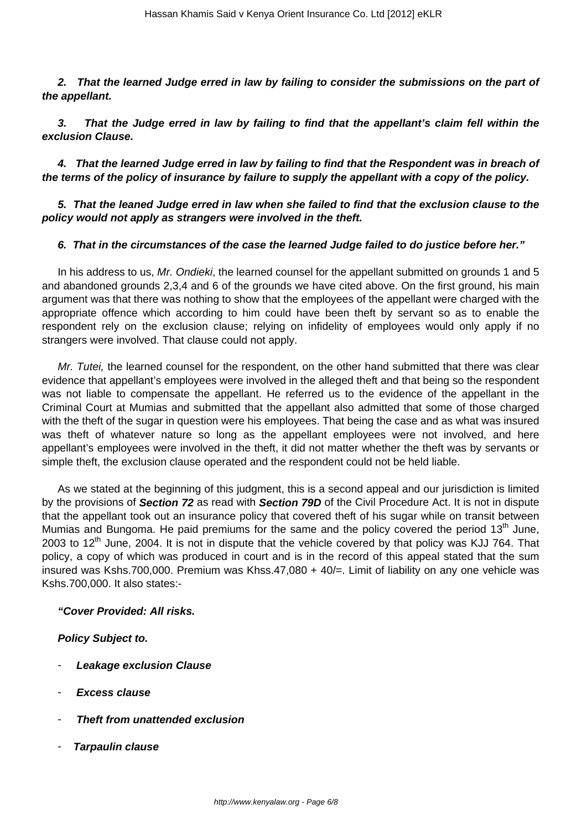**2. That the learned Judge erred in law by failing to consider the submissions on the part of the appellant.**

**3. That the Judge erred in law by failing to find that the appellant's claim fell within the exclusion Clause.**

**4. That the learned Judge erred in law by failing to find that the Respondent was in breach of the terms of the policy of insurance by failure to supply the appellant with a copy of the policy.**

**5. That the leaned Judge erred in law when she failed to find that the exclusion clause to the policy would not apply as strangers were involved in the theft.**

## **6. That in the circumstances of the case the learned Judge failed to do justice before her."**

In his address to us, Mr. Ondieki, the learned counsel for the appellant submitted on grounds 1 and 5 and abandoned grounds 2,3,4 and 6 of the grounds we have cited above. On the first ground, his main argument was that there was nothing to show that the employees of the appellant were charged with the appropriate offence which according to him could have been theft by servant so as to enable the respondent rely on the exclusion clause; relying on infidelity of employees would only apply if no strangers were involved. That clause could not apply.

Mr. Tutei, the learned counsel for the respondent, on the other hand submitted that there was clear evidence that appellant's employees were involved in the alleged theft and that being so the respondent was not liable to compensate the appellant. He referred us to the evidence of the appellant in the Criminal Court at Mumias and submitted that the appellant also admitted that some of those charged with the theft of the sugar in question were his employees. That being the case and as what was insured was theft of whatever nature so long as the appellant employees were not involved, and here appellant's employees were involved in the theft, it did not matter whether the theft was by servants or simple theft, the exclusion clause operated and the respondent could not be held liable.

As we stated at the beginning of this judgment, this is a second appeal and our jurisdiction is limited by the provisions of **Section 72** as read with **Section 79D** of the Civil Procedure Act. It is not in dispute that the appellant took out an insurance policy that covered theft of his sugar while on transit between Mumias and Bungoma. He paid premiums for the same and the policy covered the period  $13<sup>th</sup>$  June, 2003 to  $12<sup>th</sup>$  June, 2004. It is not in dispute that the vehicle covered by that policy was KJJ 764. That policy, a copy of which was produced in court and is in the record of this appeal stated that the sum insured was Kshs.700,000. Premium was Khss.47,080 + 40/=. Limit of liability on any one vehicle was Kshs.700,000. It also states:-

#### **"Cover Provided: All risks.**

**Policy Subject to.**

- **Leakage exclusion Clause**
- **Excess clause**
- **Theft from unattended exclusion**
- **Tarpaulin clause**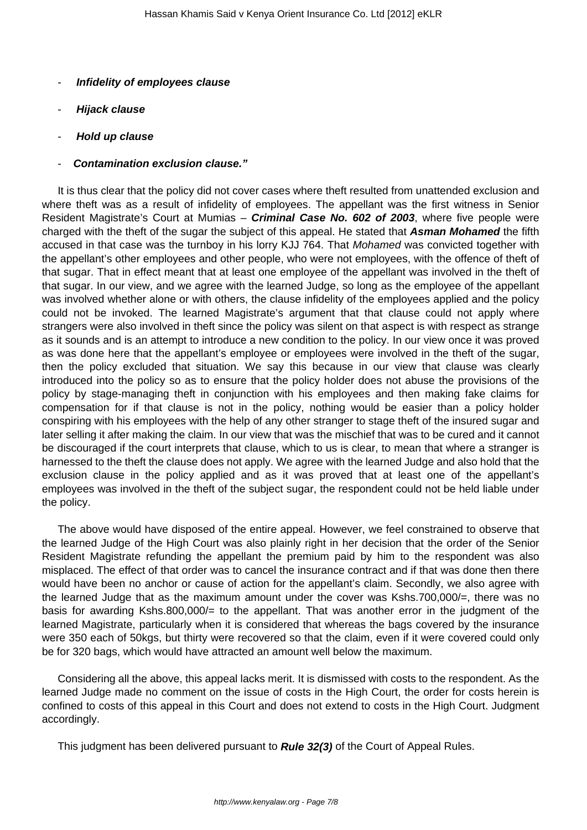- **Infidelity of employees clause**
- **Hijack clause**
- **Hold up clause**
- **Contamination exclusion clause."**

It is thus clear that the policy did not cover cases where theft resulted from unattended exclusion and where theft was as a result of infidelity of employees. The appellant was the first witness in Senior Resident Magistrate's Court at Mumias – **Criminal Case No. 602 of 2003**, where five people were charged with the theft of the sugar the subject of this appeal. He stated that **Asman Mohamed** the fifth accused in that case was the turnboy in his lorry KJJ 764. That Mohamed was convicted together with the appellant's other employees and other people, who were not employees, with the offence of theft of that sugar. That in effect meant that at least one employee of the appellant was involved in the theft of that sugar. In our view, and we agree with the learned Judge, so long as the employee of the appellant was involved whether alone or with others, the clause infidelity of the employees applied and the policy could not be invoked. The learned Magistrate's argument that that clause could not apply where strangers were also involved in theft since the policy was silent on that aspect is with respect as strange as it sounds and is an attempt to introduce a new condition to the policy. In our view once it was proved as was done here that the appellant's employee or employees were involved in the theft of the sugar, then the policy excluded that situation. We say this because in our view that clause was clearly introduced into the policy so as to ensure that the policy holder does not abuse the provisions of the policy by stage-managing theft in conjunction with his employees and then making fake claims for compensation for if that clause is not in the policy, nothing would be easier than a policy holder conspiring with his employees with the help of any other stranger to stage theft of the insured sugar and later selling it after making the claim. In our view that was the mischief that was to be cured and it cannot be discouraged if the court interprets that clause, which to us is clear, to mean that where a stranger is harnessed to the theft the clause does not apply. We agree with the learned Judge and also hold that the exclusion clause in the policy applied and as it was proved that at least one of the appellant's employees was involved in the theft of the subject sugar, the respondent could not be held liable under the policy.

The above would have disposed of the entire appeal. However, we feel constrained to observe that the learned Judge of the High Court was also plainly right in her decision that the order of the Senior Resident Magistrate refunding the appellant the premium paid by him to the respondent was also misplaced. The effect of that order was to cancel the insurance contract and if that was done then there would have been no anchor or cause of action for the appellant's claim. Secondly, we also agree with the learned Judge that as the maximum amount under the cover was Kshs.700,000/=, there was no basis for awarding Kshs.800,000/= to the appellant. That was another error in the judgment of the learned Magistrate, particularly when it is considered that whereas the bags covered by the insurance were 350 each of 50kgs, but thirty were recovered so that the claim, even if it were covered could only be for 320 bags, which would have attracted an amount well below the maximum.

Considering all the above, this appeal lacks merit. It is dismissed with costs to the respondent. As the learned Judge made no comment on the issue of costs in the High Court, the order for costs herein is confined to costs of this appeal in this Court and does not extend to costs in the High Court. Judgment accordingly.

This judgment has been delivered pursuant to **Rule 32(3)** of the Court of Appeal Rules.